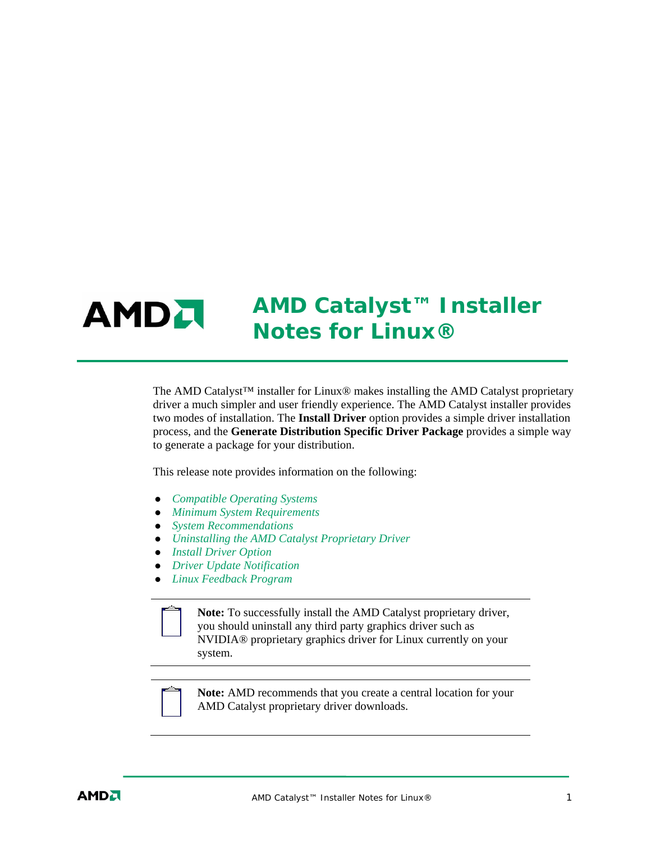## *AMD Catalyst™ Installer*  **AMDA** *Notes for Linux®*

The AMD Catalyst™ installer for Linux® makes installing the AMD Catalyst proprietary driver a much simpler and user friendly experience. The AMD Catalyst installer provides two modes of installation. The **Install Driver** option provides a simple driver installation process, and the **Generate Distribution Specific Driver Package** provides a simple way to generate a package for your distribution.

This release note provides information on the following:

- z *Compatible Operating Systems*
- z *Minimum System Requirements*
- z *System Recommendations*
- z *Uninstalling the AMD Catalyst Proprietary Driver*
- **•** *Install Driver Option*
- **•** *Driver Update Notification*
- z *Linux Feedback Program*

**Note:** To successfully install the AMD Catalyst proprietary driver, you should uninstall any third party graphics driver such as NVIDIA® proprietary graphics driver for Linux currently on your system.



**Note:** AMD recommends that you create a central location for your AMD Catalyst proprietary driver downloads.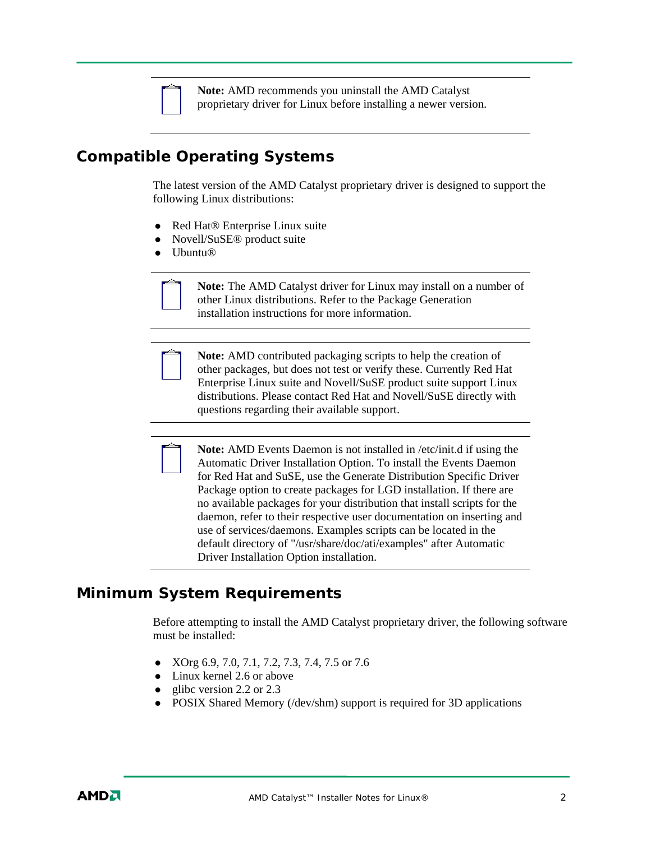

**Note:** AMD recommends you uninstall the AMD Catalyst proprietary driver for Linux before installing a newer version.

# **Compatible Operating Systems**

The latest version of the AMD Catalyst proprietary driver is designed to support the following Linux distributions:

- Red Hat® Enterprise Linux suite
- Novell/SuSE<sup>®</sup> product suite
- $\bullet$  Ubuntu®



**Note:** The AMD Catalyst driver for Linux may install on a number of other Linux distributions. Refer to the Package Generation installation instructions for more information.



**Note:** AMD contributed packaging scripts to help the creation of other packages, but does not test or verify these. Currently Red Hat Enterprise Linux suite and Novell/SuSE product suite support Linux distributions. Please contact Red Hat and Novell/SuSE directly with questions regarding their available support.

**Note:** AMD Events Daemon is not installed in /etc/init.d if using the Automatic Driver Installation Option. To install the Events Daemon for Red Hat and SuSE, use the Generate Distribution Specific Driver Package option to create packages for LGD installation. If there are no available packages for your distribution that install scripts for the daemon, refer to their respective user documentation on inserting and use of services/daemons. Examples scripts can be located in the default directory of "/usr/share/doc/ati/examples" after Automatic Driver Installation Option installation.

## **Minimum System Requirements**

Before attempting to install the AMD Catalyst proprietary driver, the following software must be installed:

- XOrg 6.9, 7.0, 7.1, 7.2, 7.3, 7.4, 7.5 or 7.6
- $\bullet$  Linux kernel 2.6 or above
- $\bullet$  glibc version 2.2 or 2.3
- POSIX Shared Memory (/dev/shm) support is required for 3D applications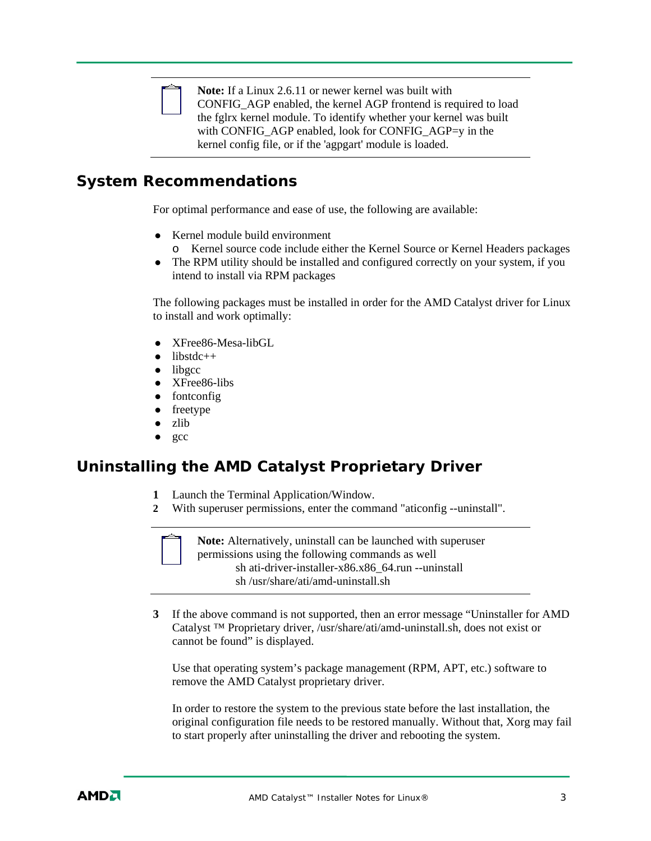

**Note:** If a Linux 2.6.11 or newer kernel was built with CONFIG\_AGP enabled, the kernel AGP frontend is required to load the fglrx kernel module. To identify whether your kernel was built with CONFIG AGP enabled, look for CONFIG AGP=y in the kernel config file, or if the 'agpgart' module is loaded.

### **System Recommendations**

For optimal performance and ease of use, the following are available:

- Kernel module build environment
	- o Kernel source code include either the Kernel Source or Kernel Headers packages
- The RPM utility should be installed and configured correctly on your system, if you intend to install via RPM packages

The following packages must be installed in order for the AMD Catalyst driver for Linux to install and work optimally:

- $\bullet$  XFree86-Mesa-libGL
- $\bullet$  libstdc++
- $\bullet$  libgcc
- XFree86-libs
- $\bullet$  fontconfig
- $\bullet$  freetype
- zlib
- gcc

## **Uninstalling the AMD Catalyst Proprietary Driver**

- **1** Launch the Terminal Application/Window.
- **2** With superuser permissions, enter the command "aticonfig --uninstall".



**Note:** Alternatively, uninstall can be launched with superuser permissions using the following commands as well sh ati-driver-installer-x86.x86\_64.run --uninstall sh /usr/share/ati/amd-uninstall.sh

**3** If the above command is not supported, then an error message "Uninstaller for AMD Catalyst ™ Proprietary driver, /usr/share/ati/amd-uninstall.sh, does not exist or cannot be found" is displayed.

Use that operating system's package management (RPM, APT, etc.) software to remove the AMD Catalyst proprietary driver.

In order to restore the system to the previous state before the last installation, the original configuration file needs to be restored manually. Without that, Xorg may fail to start properly after uninstalling the driver and rebooting the system.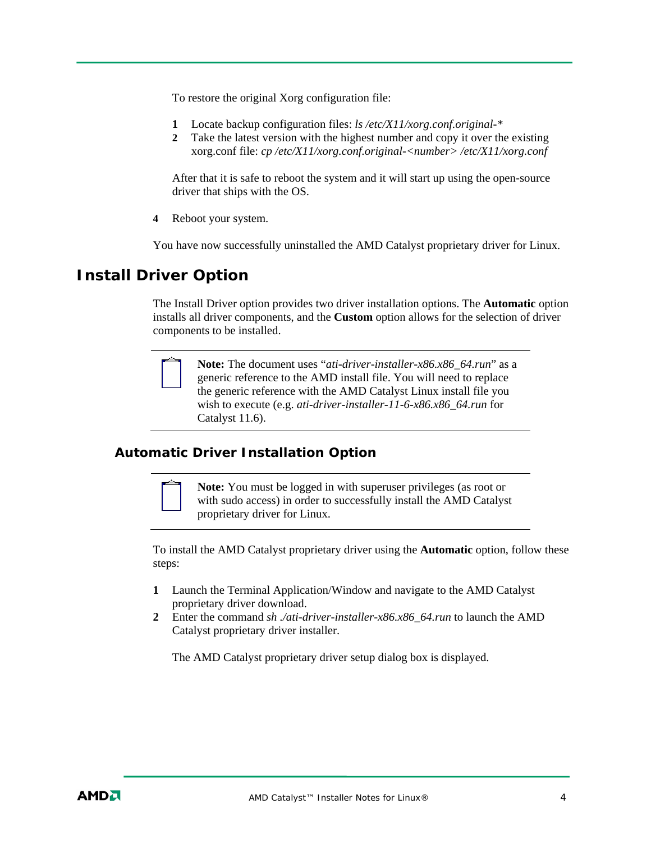To restore the original Xorg configuration file:

- **1** Locate backup configuration files: *ls /etc/X11/xorg.conf.original-\**
- **2** Take the latest version with the highest number and copy it over the existing xorg.conf file: *cp /etc/X11/xorg.conf.original-<number> /etc/X11/xorg.conf*

After that it is safe to reboot the system and it will start up using the open-source driver that ships with the OS.

**4** Reboot your system.

You have now successfully uninstalled the AMD Catalyst proprietary driver for Linux.

### **Install Driver Option**

The Install Driver option provides two driver installation options. The **Automatic** option installs all driver components, and the **Custom** option allows for the selection of driver components to be installed.



**Note:** The document uses "*ati-driver-installer-x86.x86\_64.run*" as a generic reference to the AMD install file. You will need to replace the generic reference with the AMD Catalyst Linux install file you wish to execute (e.g. *ati-driver-installer-11-6-x86.x86\_64.run* for Catalyst 11.6).

#### **Automatic Driver Installation Option**



**Note:** You must be logged in with superuser privileges (as root or with sudo access) in order to successfully install the AMD Catalyst proprietary driver for Linux.

To install the AMD Catalyst proprietary driver using the **Automatic** option, follow these steps:

- **1** Launch the Terminal Application/Window and navigate to the AMD Catalyst proprietary driver download.
- **2** Enter the command *sh ./ati-driver-installer-x86.x86\_64.run* to launch the AMD Catalyst proprietary driver installer.

The AMD Catalyst proprietary driver setup dialog box is displayed.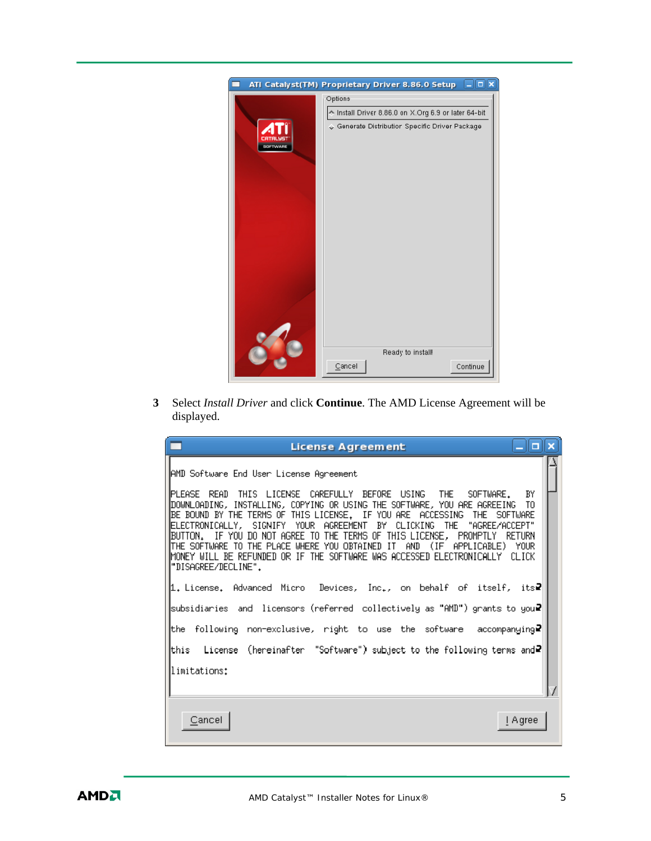|          | $-  \Box  \mathbf{x}  $<br>ATI Catalyst(TM) Proprietary Driver 8.86.0 Setup |
|----------|-----------------------------------------------------------------------------|
|          | Options                                                                     |
|          | ↑ Install Driver 8.86.0 on X.Org 6.9 or later 64-bit                        |
| SOFTWARE | ♦ Generate Distribution Specific Driver Package                             |
|          | Ready to install!<br>Continue<br>Cancel                                     |

**3** Select *Install Driver* and click **Continue**. The AMD License Agreement will be displayed.

| <b>License Agreement</b>                                                                                                                                                                                                                                                                                                                                                                                                                                                                         | <u>_ a x</u> |
|--------------------------------------------------------------------------------------------------------------------------------------------------------------------------------------------------------------------------------------------------------------------------------------------------------------------------------------------------------------------------------------------------------------------------------------------------------------------------------------------------|--------------|
| AMD Software End User License Agreement<br>IPLEASE READ THIS LICENSE CAREFULLY BEFORE USING<br>THE<br>SOFTWARE.                                                                                                                                                                                                                                                                                                                                                                                  | BY           |
| ∥DOWNLOADING, INSTALLING, COPYING OR USING THE SOFTWARE, YOU ARE AGREEING  TO<br>BE BOUND BY THE TERMS OF THIS LICENSE. IF YOU ARE ACCESSING<br>THE SOFTWARE<br> ELECTRONICALLY, SIGNIFY YOUR AGREEMENT BY CLICKING THE "AGREE/ACCEPT"<br>BUTTON. IF YOU DO NOT AGREE TO THE TERMS OF THIS LICENSE, PROMPTLY<br>∥THE SOFTWARE TO THE PLACE WHERE YOU OBTAINED IT AND (IF APPLICABLE) YOUR<br>∥MONEY WILL BE REFUNDED OR IF THE SOFTWARE WAS ACCESSED ELECTRONICALLY CLICK<br>"DISAGREE/DECLINE". | RETURN       |
| 1. License. Advanced Micro Devices, Inc., on behalf of itself, its?                                                                                                                                                                                                                                                                                                                                                                                                                              |              |
| subsidiaries and licensors (referred collectively as "AMD") grants to you₽                                                                                                                                                                                                                                                                                                                                                                                                                       |              |
| the following non-exclusive, right to use the software accompanying₽                                                                                                                                                                                                                                                                                                                                                                                                                             |              |
| this   License (hereinafter "Software") subject to the following terms and₽                                                                                                                                                                                                                                                                                                                                                                                                                      |              |
| limitations:                                                                                                                                                                                                                                                                                                                                                                                                                                                                                     |              |
|                                                                                                                                                                                                                                                                                                                                                                                                                                                                                                  |              |
| Cancel                                                                                                                                                                                                                                                                                                                                                                                                                                                                                           | I Agree      |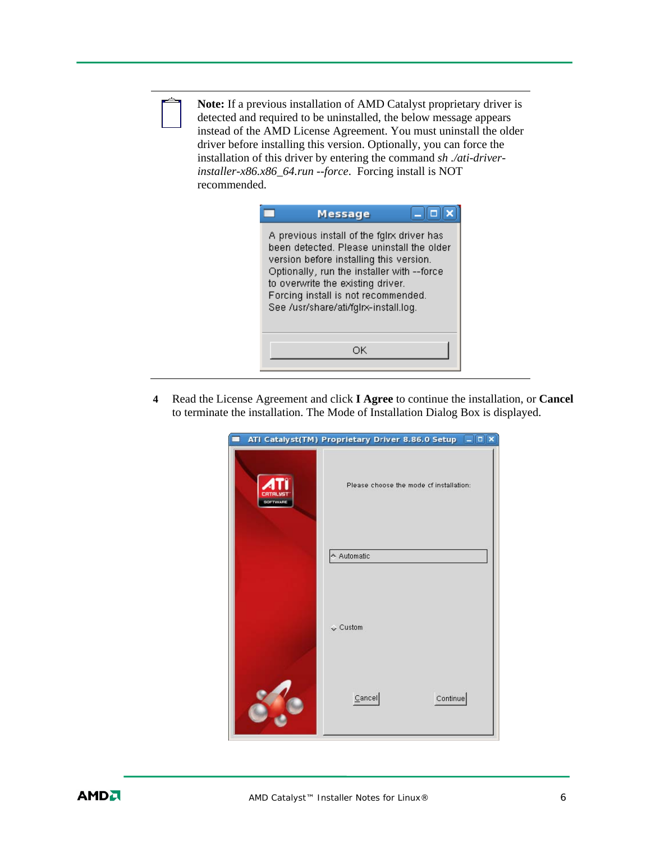

**Note:** If a previous installation of AMD Catalyst proprietary driver is detected and required to be uninstalled, the below message appears instead of the AMD License Agreement. You must uninstall the older driver before installing this version. Optionally, you can force the installation of this driver by entering the command *sh ./ati-driverinstaller-x86.x86\_64.run --force*. Forcing install is NOT recommended.

| Message                                                                                                                                                                                                                                                                                               |  |
|-------------------------------------------------------------------------------------------------------------------------------------------------------------------------------------------------------------------------------------------------------------------------------------------------------|--|
| A previous install of the fglrx driver has<br>been detected. Please uninstall the older<br>version before installing this version.<br>Optionally, run the installer with --force<br>to overwrite the existing driver.<br>Forcing install is not recommended.<br>See /usr/share/ati/fglrx-install.log. |  |
| ОK                                                                                                                                                                                                                                                                                                    |  |

**4** Read the License Agreement and click **I Agree** to continue the installation, or **Cancel**  to terminate the installation. The Mode of Installation Dialog Box is displayed.

|          | ATI Catalyst(TM) Proprietary Driver 8.86.0 Setup DX |
|----------|-----------------------------------------------------|
| SOFTWARE | Please choose the mode cf installation:             |
|          | ← Automatic                                         |
|          | $\sqrt{\phantom{a}}$ Custom                         |
|          | Cancel<br>Continue                                  |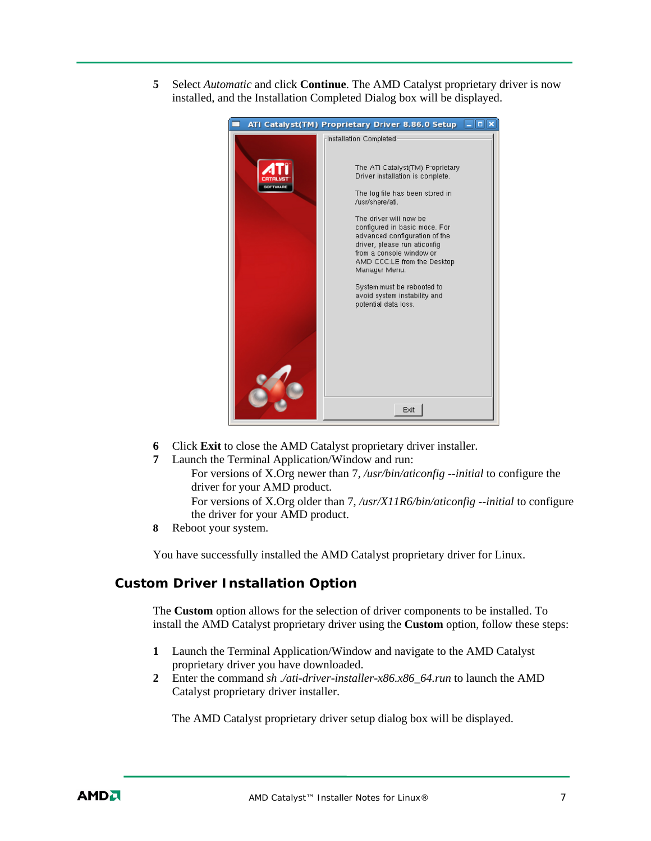**5** Select *Automatic* and click **Continue**. The AMD Catalyst proprietary driver is now installed, and the Installation Completed Dialog box will be displayed.

|                 | ATI Catalyst(TM) Proprietary Driver 8.86.0 Setup                                                                                                                                                                                                                                                                                                                                                                                                   |  |
|-----------------|----------------------------------------------------------------------------------------------------------------------------------------------------------------------------------------------------------------------------------------------------------------------------------------------------------------------------------------------------------------------------------------------------------------------------------------------------|--|
| <b>SOFTWARE</b> | Installation Completed<br>The ATI Catalyst(TM) Proprietary<br>Driver installation is complete.<br>The log file has been stored in<br>/usr/share/ati.<br>The driver will now be<br>configured in basic moce. For<br>advanced configuration of the<br>driver, please run aticonfig<br>from a console window or<br>AMD CCC:LE from the Desktop<br>Manager Menu.<br>System must be rebooted to<br>avoid system instability and<br>potential data loss. |  |
|                 | Exit                                                                                                                                                                                                                                                                                                                                                                                                                                               |  |

- **6** Click **Exit** to close the AMD Catalyst proprietary driver installer.
- **7** Launch the Terminal Application/Window and run:

For versions of X.Org newer than 7, */usr/bin/aticonfig --initial* to configure the driver for your AMD product.

For versions of X.Org older than 7, */usr/X11R6/bin/aticonfig --initial* to configure the driver for your AMD product.

**8** Reboot your system.

You have successfully installed the AMD Catalyst proprietary driver for Linux.

#### **Custom Driver Installation Option**

The **Custom** option allows for the selection of driver components to be installed. To install the AMD Catalyst proprietary driver using the **Custom** option, follow these steps:

- **1** Launch the Terminal Application/Window and navigate to the AMD Catalyst proprietary driver you have downloaded.
- **2** Enter the command *sh ./ati-driver-installer-x86.x86\_64.run* to launch the AMD Catalyst proprietary driver installer.

The AMD Catalyst proprietary driver setup dialog box will be displayed.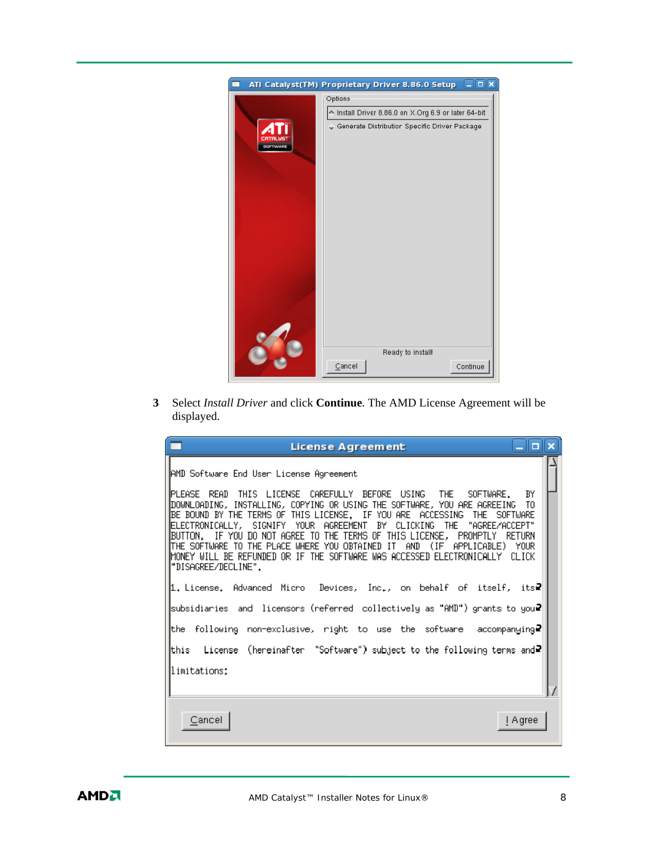|          | $-  \Box  \mathbf{x}  $<br>ATI Catalyst(TM) Proprietary Driver 8.86.0 Setup |
|----------|-----------------------------------------------------------------------------|
|          | Options                                                                     |
|          | ↑ Install Driver 8.86.0 on X.Org 6.9 or later 64-bit                        |
| SOFTWARE | ♦ Generate Distribution Specific Driver Package                             |
|          | Ready to install!<br>Continue<br>Cancel                                     |

**3** Select *Install Driver* and click **Continue**. The AMD License Agreement will be displayed.

| <b>License Agreement</b>                                                                                                                                                                                                                                                                                                                                                                                                                                                                         | <u>_ a x</u> |
|--------------------------------------------------------------------------------------------------------------------------------------------------------------------------------------------------------------------------------------------------------------------------------------------------------------------------------------------------------------------------------------------------------------------------------------------------------------------------------------------------|--------------|
| AMD Software End User License Agreement<br>IPLEASE READ THIS LICENSE CAREFULLY BEFORE USING<br>THE<br>SOFTWARE.                                                                                                                                                                                                                                                                                                                                                                                  | BY           |
| ∥DOWNLOADING, INSTALLING, COPYING OR USING THE SOFTWARE, YOU ARE AGREEING  TO<br>BE BOUND BY THE TERMS OF THIS LICENSE. IF YOU ARE ACCESSING<br>THE SOFTWARE<br> ELECTRONICALLY, SIGNIFY YOUR AGREEMENT BY CLICKING THE "AGREE/ACCEPT"<br>BUTTON. IF YOU DO NOT AGREE TO THE TERMS OF THIS LICENSE, PROMPTLY<br>∥THE SOFTWARE TO THE PLACE WHERE YOU OBTAINED IT AND (IF APPLICABLE) YOUR<br>∥MONEY WILL BE REFUNDED OR IF THE SOFTWARE WAS ACCESSED ELECTRONICALLY CLICK<br>"DISAGREE/DECLINE". | RETURN       |
| 1. License. Advanced Micro Devices, Inc., on behalf of itself, its?                                                                                                                                                                                                                                                                                                                                                                                                                              |              |
| subsidiaries and licensors (referred collectively as "AMD") grants to you₽                                                                                                                                                                                                                                                                                                                                                                                                                       |              |
| the following non-exclusive, right to use the software accompanying₽                                                                                                                                                                                                                                                                                                                                                                                                                             |              |
| this   License (hereinafter "Software") subject to the following terms and₽                                                                                                                                                                                                                                                                                                                                                                                                                      |              |
| limitations:                                                                                                                                                                                                                                                                                                                                                                                                                                                                                     |              |
|                                                                                                                                                                                                                                                                                                                                                                                                                                                                                                  |              |
| Cancel                                                                                                                                                                                                                                                                                                                                                                                                                                                                                           | I Agree      |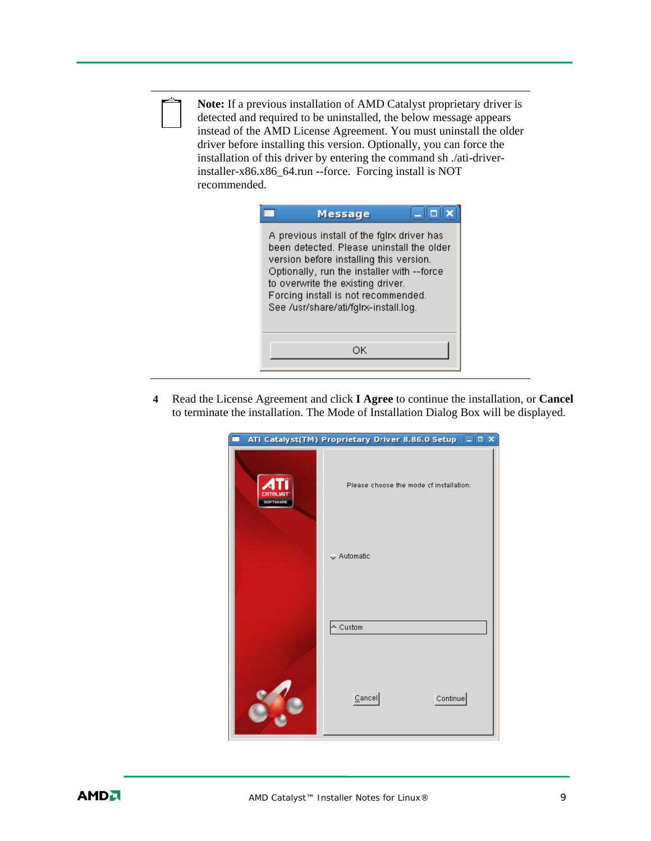

**Note:** If a previous installation of AMD Catalyst proprietary driver is detected and required to be uninstalled, the below message appears instead of the AMD License Agreement. You must uninstall the older driver before installing this version. Optionally, you can force the installation of this driver by entering the command sh ./ati-driverinstaller-x86.x86\_64.run --force. Forcing install is NOT recommended.

| Message                                                                                                                                                                                                                                                                                               |  |
|-------------------------------------------------------------------------------------------------------------------------------------------------------------------------------------------------------------------------------------------------------------------------------------------------------|--|
| A previous install of the fglrx driver has<br>been detected. Please uninstall the older<br>version before installing this version.<br>Optionally, run the installer with --force<br>to overwrite the existing driver.<br>Forcing install is not recommended.<br>See /usr/share/ati/fglrx-install.log. |  |
| ОK                                                                                                                                                                                                                                                                                                    |  |

**4** Read the License Agreement and click **I Agree** to continue the installation, or **Cancel**  to terminate the installation. The Mode of Installation Dialog Box will be displayed.

|                 | $\Box$ o $\bm{x}$<br>ATI Catalyst(TM) Proprietary Driver 8.86.0 Setup |
|-----------------|-----------------------------------------------------------------------|
| <b>SOFTWARE</b> | Please choose the mode cf installation:                               |
|                 | $\sim$ Automatic                                                      |
|                 | $\sim$ Custom                                                         |
|                 | Cancel<br>Continue                                                    |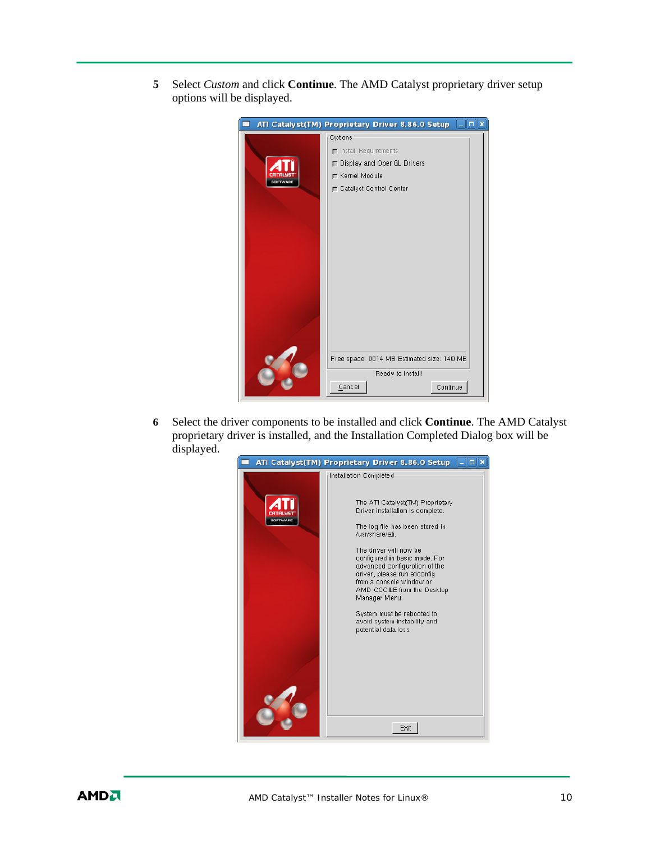**5** Select *Custom* and click **Continue**. The AMD Catalyst proprietary driver setup options will be displayed.



**6** Select the driver components to be installed and click **Continue**. The AMD Catalyst proprietary driver is installed, and the Installation Completed Dialog box will be displayed.

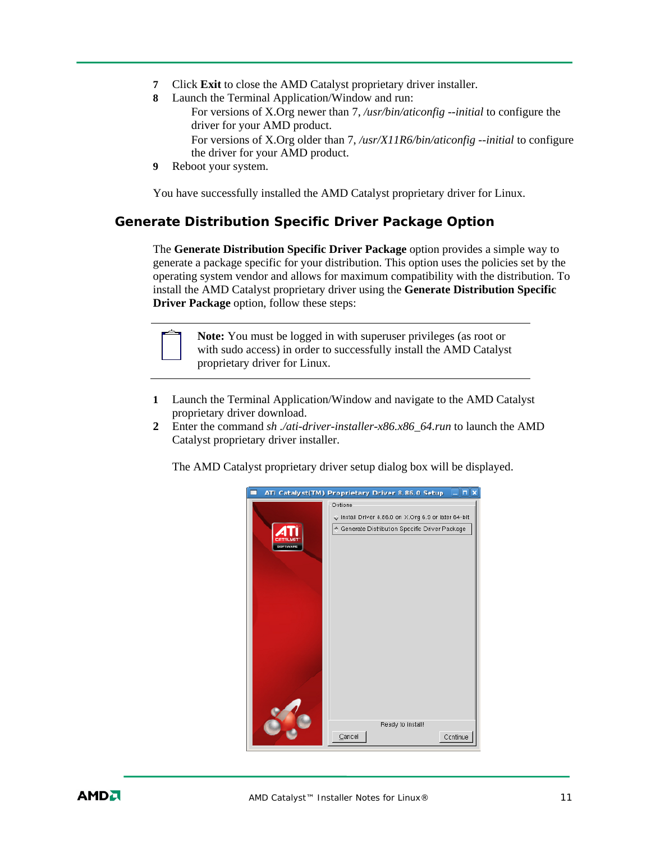- **7** Click **Exit** to close the AMD Catalyst proprietary driver installer.
- **8** Launch the Terminal Application/Window and run: For versions of X.Org newer than 7, */usr/bin/aticonfig --initial* to configure the driver for your AMD product. For versions of X.Org older than 7, */usr/X11R6/bin/aticonfig --initial* to configure the driver for your AMD product.
- **9** Reboot your system.

You have successfully installed the AMD Catalyst proprietary driver for Linux.

### **Generate Distribution Specific Driver Package Option**

The **Generate Distribution Specific Driver Package** option provides a simple way to generate a package specific for your distribution. This option uses the policies set by the operating system vendor and allows for maximum compatibility with the distribution. To install the AMD Catalyst proprietary driver using the **Generate Distribution Specific Driver Package** option, follow these steps:



**Note:** You must be logged in with superuser privileges (as root or with sudo access) in order to successfully install the AMD Catalyst proprietary driver for Linux.

- **1** Launch the Terminal Application/Window and navigate to the AMD Catalyst proprietary driver download.
- **2** Enter the command *sh ./ati-driver-installer-x86.x86\_64.run* to launch the AMD Catalyst proprietary driver installer.

The AMD Catalyst proprietary driver setup dialog box will be displayed.

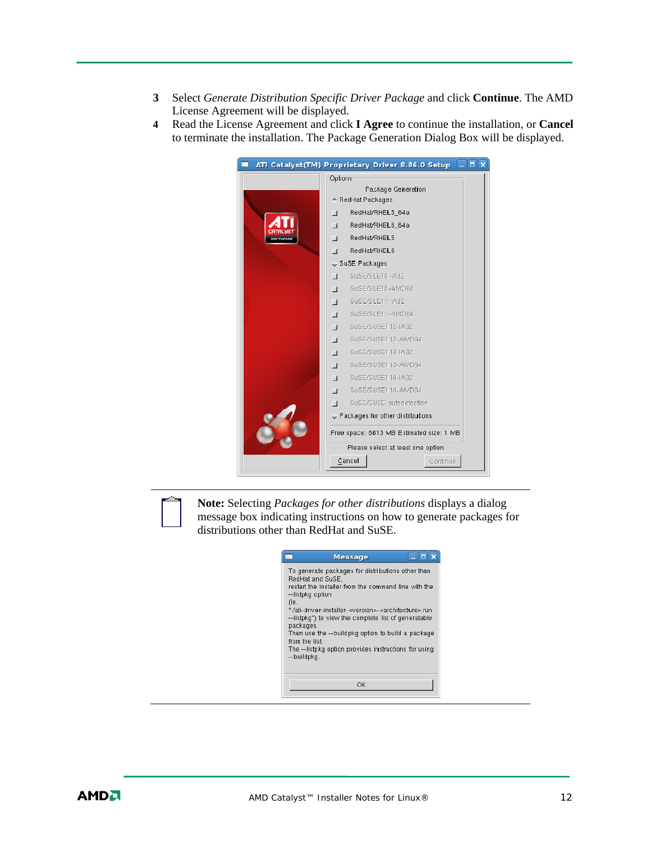- **3** Select *Generate Distribution Specific Driver Package* and click **Continue**. The AMD License Agreement will be displayed.
- **4** Read the License Agreement and click **I Agree** to continue the installation, or **Cancel**  to terminate the installation. The Package Generation Dialog Box will be displayed.

|         | $ \blacksquare$ x<br>ATI Catalyst(TM) Proprietary Driver 8.86.0 Setup |
|---------|-----------------------------------------------------------------------|
| Options |                                                                       |
|         | Package Generation                                                    |
|         | ← RedHat Packages                                                     |
| $\Box$  | RedHat/RHEL5 64a                                                      |
| $\Box$  | RedHat/RHEL6 64a                                                      |
| $\Box$  | RedHat/RHEL5                                                          |
| п       | RedHat/RHEL6                                                          |
|         | SuSE Packages                                                         |
| $\Box$  | SuSE/SLE10-IA32                                                       |
| $\Box$  | SuSE/SLE10-AMD64                                                      |
| $\Box$  | SuSE/SLE11-IA32                                                       |
| $\Box$  | SuSE/SLE11-AMD64                                                      |
| $\Box$  | SuSE/SUSE112-IA32                                                     |
| $\Box$  | SuSE/SUSE112-AMD64                                                    |
| $\Box$  | SuSE/SUSE113-IA32                                                     |
| $\Box$  | SuSE/SUSE113-AMD64                                                    |
| $\Box$  | SuSE/SUSE114-IA32                                                     |
| $\Box$  | SuSE/SUSE114-AMD64                                                    |
| П       | SuSE/SUSE-autodetection                                               |
|         | $\Diamond$ Packages for other distributions.                          |
|         | Free space: 8813 MB Estimated size: 1 MB                              |
|         | Please select at least one option                                     |
|         | Cancel<br>Continue                                                    |
|         |                                                                       |

**Note:** Selecting *Packages for other distributions* displays a dialog message box indicating instructions on how to generate packages for distributions other than RedHat and SuSE.

|                                              | <b>Message</b>                                                                                                                                                                               | п |
|----------------------------------------------|----------------------------------------------------------------------------------------------------------------------------------------------------------------------------------------------|---|
| RedHat and SuSE.<br>--listpkg option<br>(ie. | To generate packages for distributions other than<br>restart the installer from the command line with the                                                                                    |   |
| packages.                                    | "/ati-driver-installer- <version>-<architecture>.run<br/>--listpkg") to view the complete list of generatable<br/>Then use the --buildpkg option to build a package</architecture></version> |   |
| from the list<br>--buildpkg.                 | The --listpkg option provides instructions for using                                                                                                                                         |   |
|                                              | OK                                                                                                                                                                                           |   |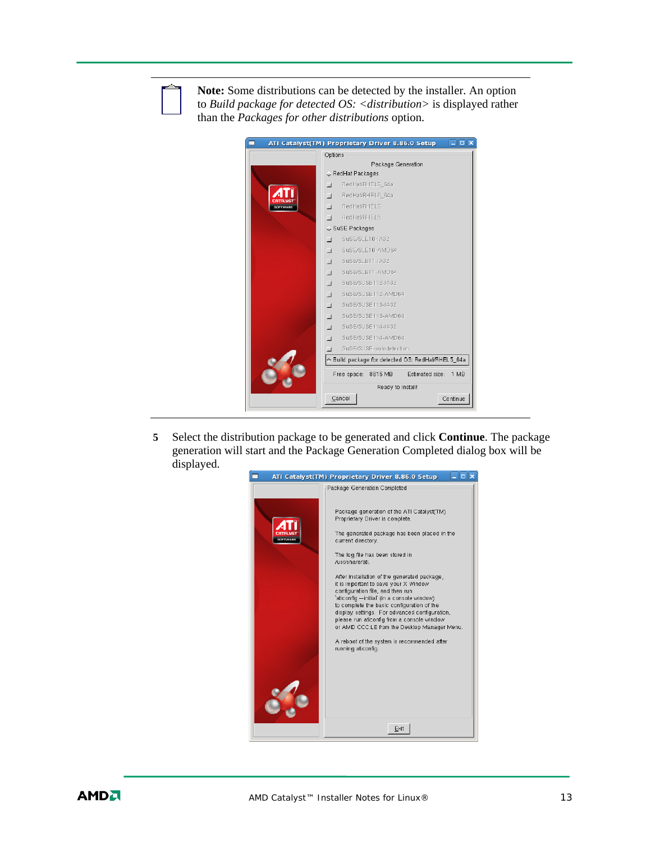

**Note:** Some distributions can be detected by the installer. An option to *Build package for detected OS: <distribution>* is displayed rather than the *Packages for other distributions* option.

| Options<br>Package Generation<br>↓ RedHat Packages<br>RedHat/RHEL5 64a<br>$\Box$<br>RedHat/RHEL6 64a<br>$\Box$<br>RedHat/RHEL5<br>$\Box$<br>OFTWARE<br>RedHat/RHEL6<br>$\Box$<br>↓ SuSE Packages<br>SuSE/SLE10-IA32<br>ш<br>SuSE/SLE10-AMD64<br>$\Box$<br>SuSE/SLE11-IA32<br>$\Box$<br>SuSE/SLE11-AMD64<br>$\Box$<br>SuSE/SUSE112-IA32<br>$\Box$<br>SuSE/SUSE112-AMD64<br>$\Box$<br>SuSE/SUSE113-IA32<br>$\Box$<br>SuSE/SUSE113-AMD64<br>$\Box$<br>SuSE/SUSE114-IA32<br>$\Box$<br>SuSE/SUSE114-AMD64<br>$\Box$ |
|----------------------------------------------------------------------------------------------------------------------------------------------------------------------------------------------------------------------------------------------------------------------------------------------------------------------------------------------------------------------------------------------------------------------------------------------------------------------------------------------------------------|
|                                                                                                                                                                                                                                                                                                                                                                                                                                                                                                                |
|                                                                                                                                                                                                                                                                                                                                                                                                                                                                                                                |
|                                                                                                                                                                                                                                                                                                                                                                                                                                                                                                                |
|                                                                                                                                                                                                                                                                                                                                                                                                                                                                                                                |
|                                                                                                                                                                                                                                                                                                                                                                                                                                                                                                                |
|                                                                                                                                                                                                                                                                                                                                                                                                                                                                                                                |
|                                                                                                                                                                                                                                                                                                                                                                                                                                                                                                                |
|                                                                                                                                                                                                                                                                                                                                                                                                                                                                                                                |
|                                                                                                                                                                                                                                                                                                                                                                                                                                                                                                                |
|                                                                                                                                                                                                                                                                                                                                                                                                                                                                                                                |
|                                                                                                                                                                                                                                                                                                                                                                                                                                                                                                                |
|                                                                                                                                                                                                                                                                                                                                                                                                                                                                                                                |
|                                                                                                                                                                                                                                                                                                                                                                                                                                                                                                                |
|                                                                                                                                                                                                                                                                                                                                                                                                                                                                                                                |
|                                                                                                                                                                                                                                                                                                                                                                                                                                                                                                                |
|                                                                                                                                                                                                                                                                                                                                                                                                                                                                                                                |
|                                                                                                                                                                                                                                                                                                                                                                                                                                                                                                                |
|                                                                                                                                                                                                                                                                                                                                                                                                                                                                                                                |
| SuSE/SUSE-autodetection                                                                                                                                                                                                                                                                                                                                                                                                                                                                                        |
| ↑ Build package for detected OS: RedHat/RHEL5_64a                                                                                                                                                                                                                                                                                                                                                                                                                                                              |
| Estimated size:<br>Free space:<br>1 MB<br>8615 MB                                                                                                                                                                                                                                                                                                                                                                                                                                                              |
| Ready to install!                                                                                                                                                                                                                                                                                                                                                                                                                                                                                              |
| Cancel<br>Continue                                                                                                                                                                                                                                                                                                                                                                                                                                                                                             |

**5** Select the distribution package to be generated and click **Continue**. The package generation will start and the Package Generation Completed dialog box will be displayed.

| $\Box$<br>ATI Catalyst(TM) Proprietary Driver 8.86.0 Setup |                                                                                                                                                                                                                                                                                                                                                                                                                                                                                                                                                                                                                                                         |
|------------------------------------------------------------|---------------------------------------------------------------------------------------------------------------------------------------------------------------------------------------------------------------------------------------------------------------------------------------------------------------------------------------------------------------------------------------------------------------------------------------------------------------------------------------------------------------------------------------------------------------------------------------------------------------------------------------------------------|
|                                                            | Package Generation Completed                                                                                                                                                                                                                                                                                                                                                                                                                                                                                                                                                                                                                            |
| <b>IOFTWARE</b>                                            | Package generation of the ATI Catalyst(TM)<br>Proprietary Driver is complete.<br>The generated package has been placed in the<br>current directory.<br>The log file has been stored in<br>/usr/share/ati.<br>After installation of the generated package,<br>it is important to save your X Window<br>configuration file, and then run<br>`aticonfig --initial` (in a console window)<br>to complete the basic configuration of the<br>display settings. For advanced configuration,<br>please run aticonfig from a console window<br>or AMD CCC:LE from the Desktop Manager Menu.<br>A reboot of the system is recommended after<br>running aticonfig. |
|                                                            | Exit                                                                                                                                                                                                                                                                                                                                                                                                                                                                                                                                                                                                                                                    |